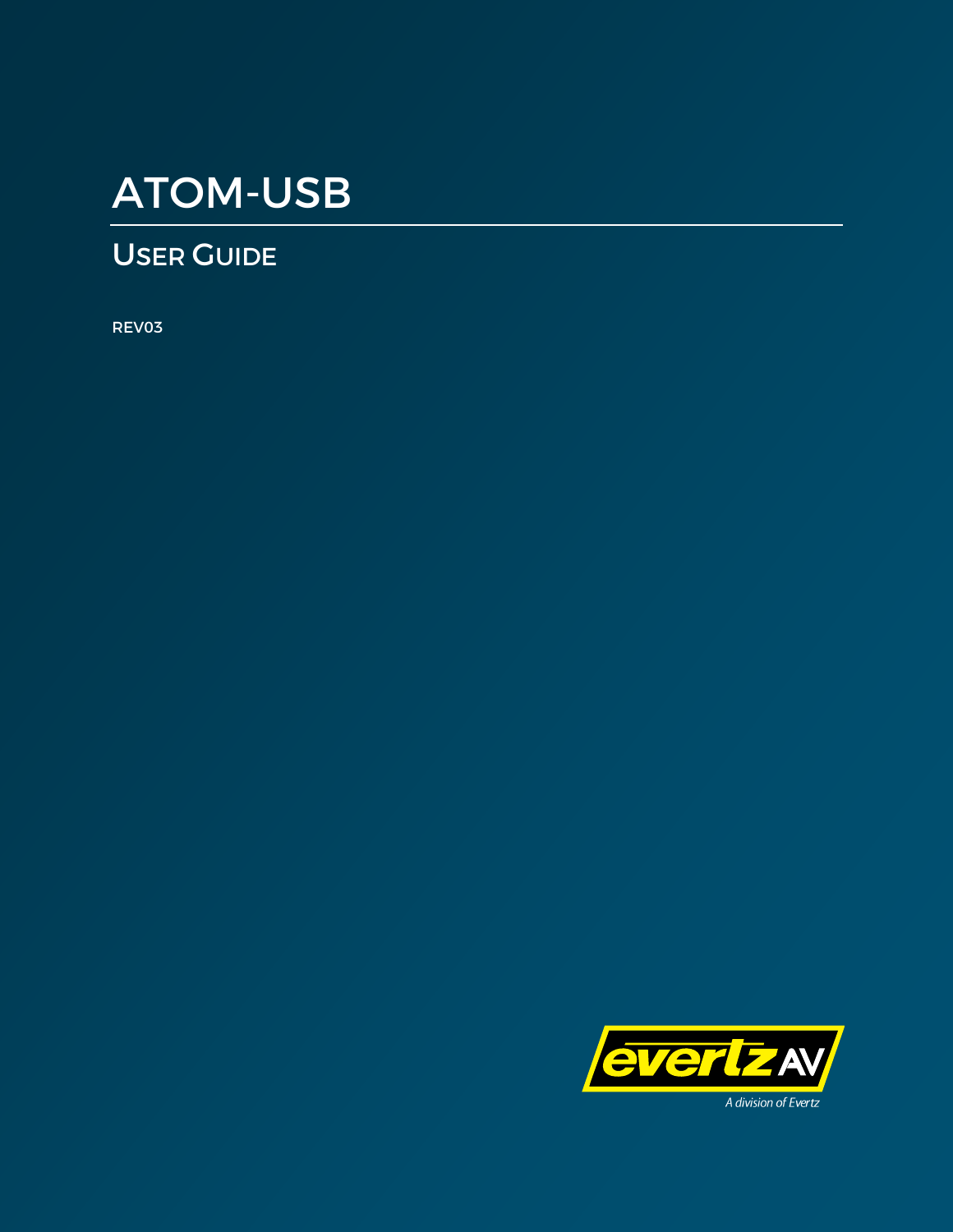# ATOM-USB

# USER GUIDE

REV03

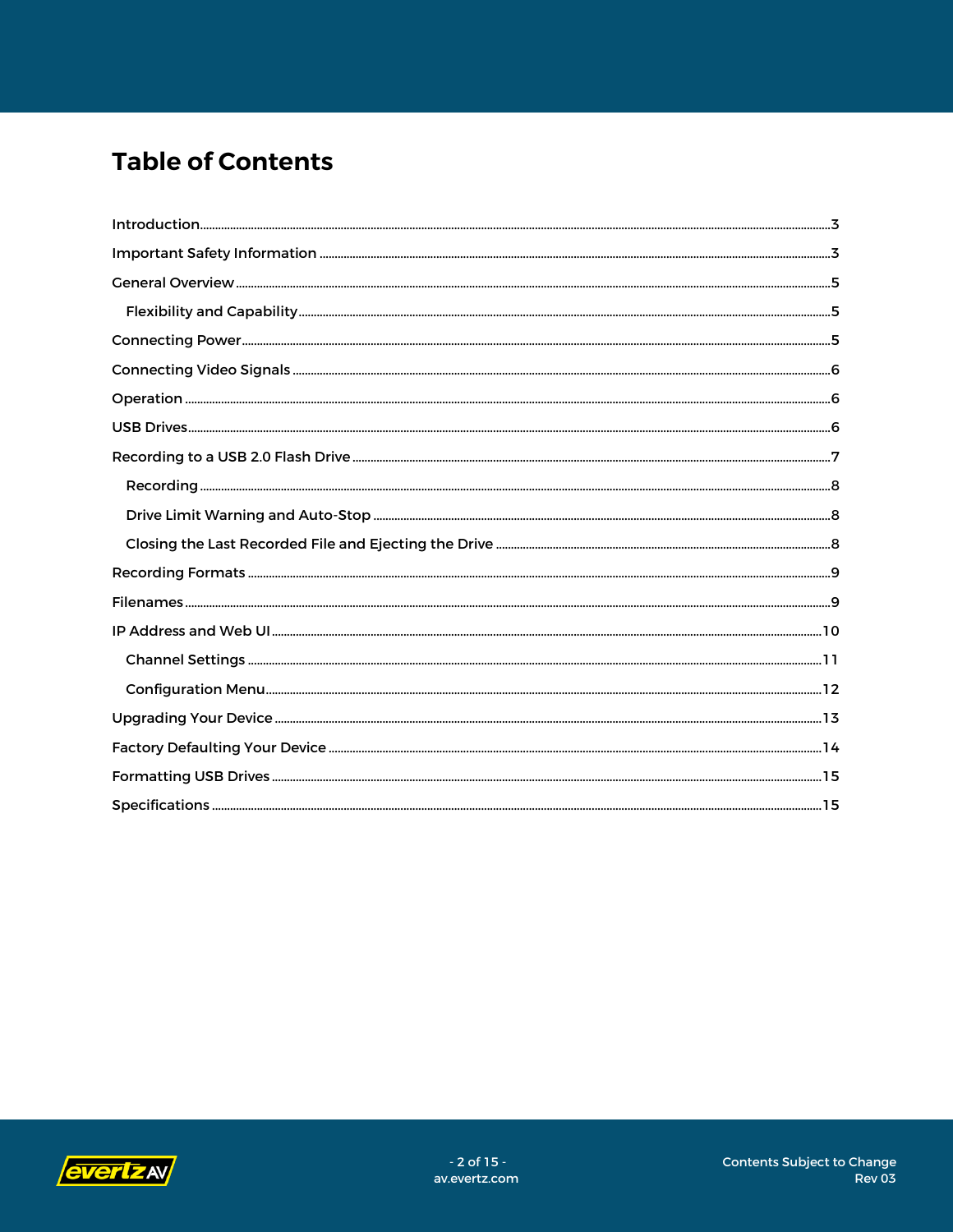# **Table of Contents**

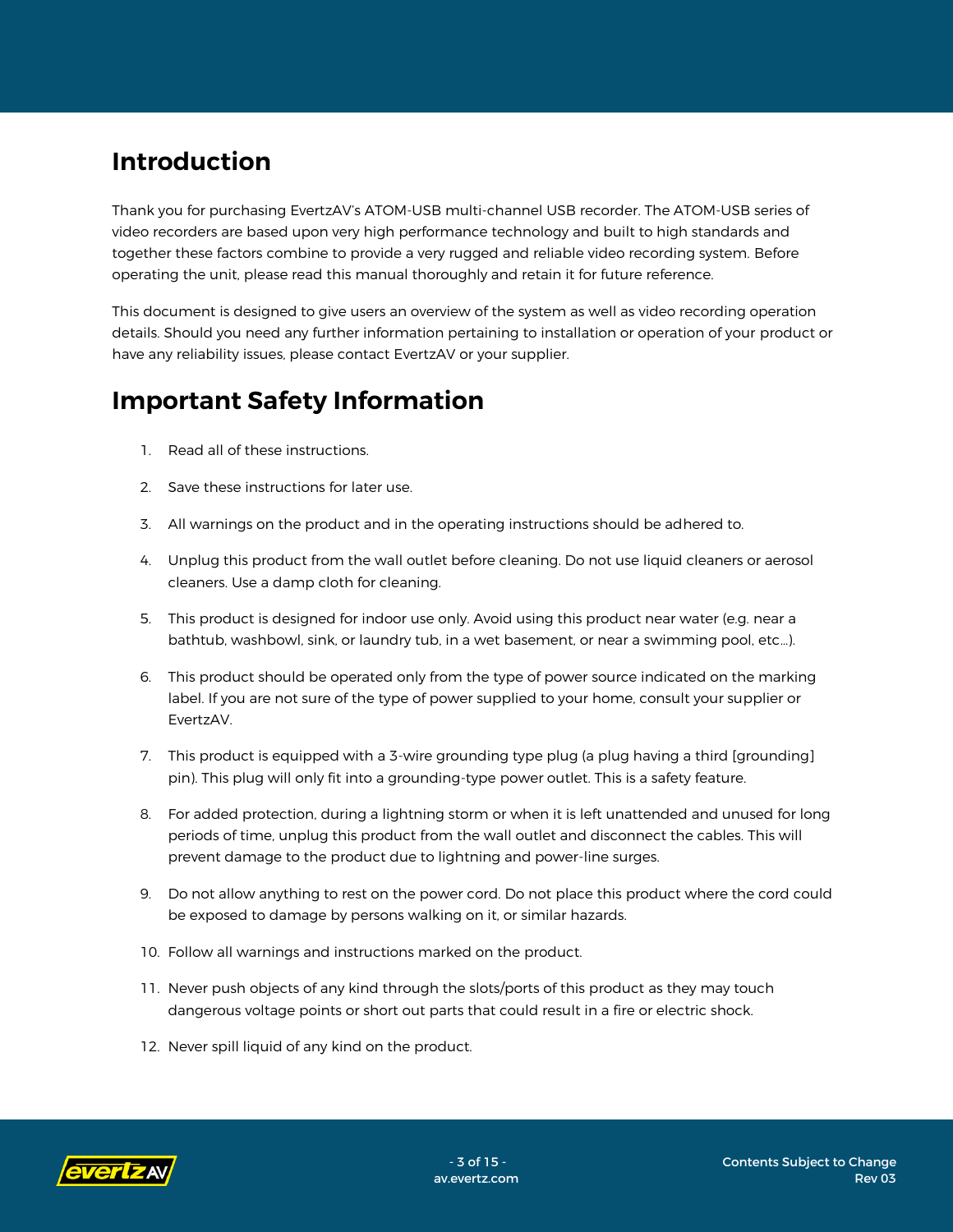## <span id="page-2-0"></span>**Introduction**

Thank you for purchasing EvertzAV's ATOM-USB multi-channel USB recorder. The ATOM-USB series of video recorders are based upon very high performance technology and built to high standards and together these factors combine to provide a very rugged and reliable video recording system. Before operating the unit, please read this manual thoroughly and retain it for future reference.

This document is designed to give users an overview of the system as well as video recording operation details. Should you need any further information pertaining to installation or operation of your product or have any reliability issues, please contact EvertzAV or your supplier.

### <span id="page-2-1"></span>**Important Safety Information**

- 1. Read all of these instructions.
- 2. Save these instructions for later use.
- 3. All warnings on the product and in the operating instructions should be adhered to.
- 4. Unplug this product from the wall outlet before cleaning. Do not use liquid cleaners or aerosol cleaners. Use a damp cloth for cleaning.
- 5. This product is designed for indoor use only. Avoid using this product near water (e.g. near a bathtub, washbowl, sink, or laundry tub, in a wet basement, or near a swimming pool, etc…).
- 6. This product should be operated only from the type of power source indicated on the marking label. If you are not sure of the type of power supplied to your home, consult your supplier or EvertzAV.
- 7. This product is equipped with a 3-wire grounding type plug (a plug having a third [grounding] pin). This plug will only fit into a grounding-type power outlet. This is a safety feature.
- 8. For added protection, during a lightning storm or when it is left unattended and unused for long periods of time, unplug this product from the wall outlet and disconnect the cables. This will prevent damage to the product due to lightning and power-line surges.
- 9. Do not allow anything to rest on the power cord. Do not place this product where the cord could be exposed to damage by persons walking on it, or similar hazards.
- 10. Follow all warnings and instructions marked on the product.
- 11. Never push objects of any kind through the slots/ports of this product as they may touch dangerous voltage points or short out parts that could result in a fire or electric shock.
- 12. Never spill liquid of any kind on the product.

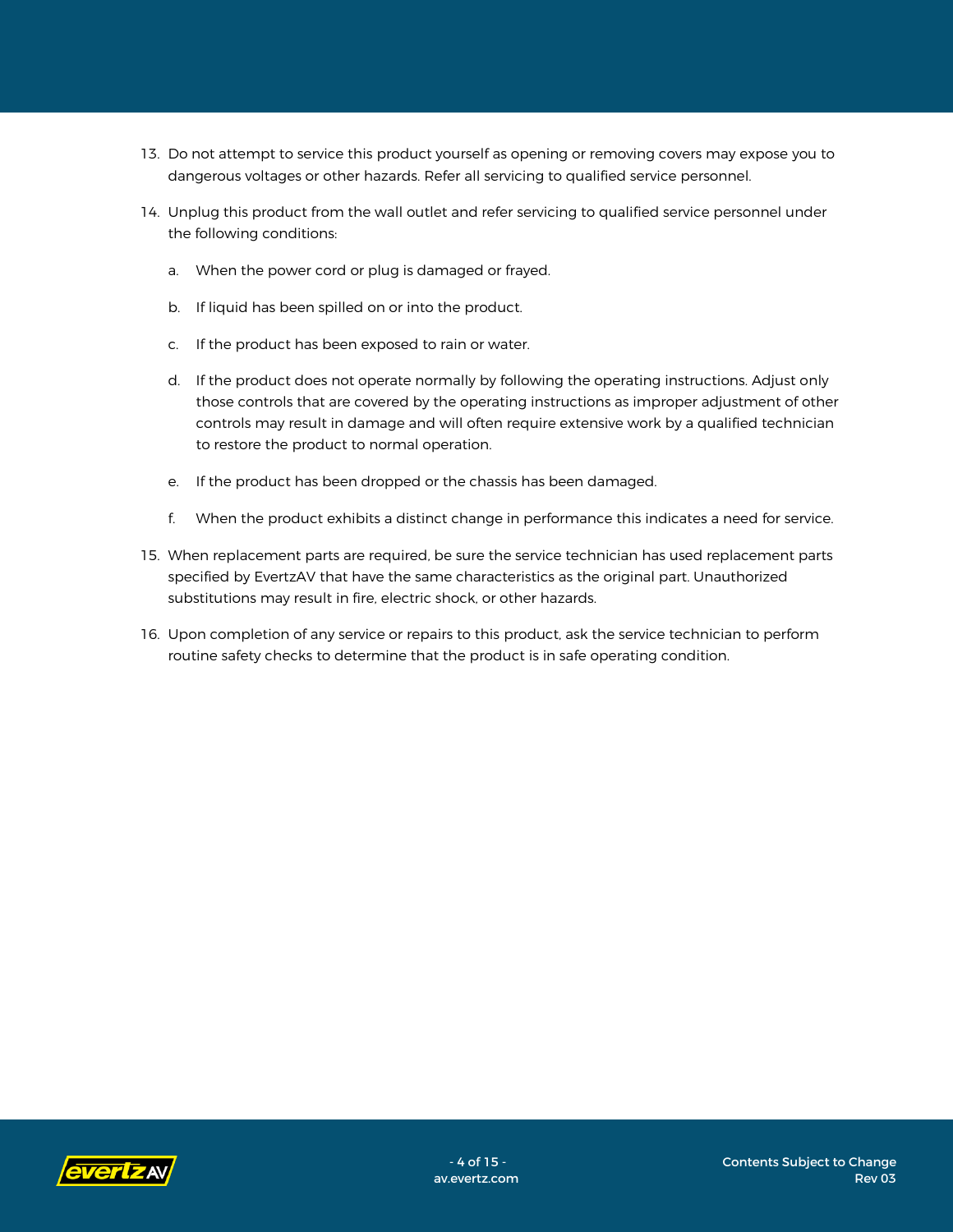- 13. Do not attempt to service this product yourself as opening or removing covers may expose you to dangerous voltages or other hazards. Refer all servicing to qualified service personnel.
- 14. Unplug this product from the wall outlet and refer servicing to qualified service personnel under the following conditions:
	- a. When the power cord or plug is damaged or frayed.
	- b. If liquid has been spilled on or into the product.
	- c. If the product has been exposed to rain or water.
	- d. If the product does not operate normally by following the operating instructions. Adjust only those controls that are covered by the operating instructions as improper adjustment of other controls may result in damage and will often require extensive work by a qualified technician to restore the product to normal operation.
	- e. If the product has been dropped or the chassis has been damaged.
	- f. When the product exhibits a distinct change in performance this indicates a need for service.
- 15. When replacement parts are required, be sure the service technician has used replacement parts specified by EvertzAV that have the same characteristics as the original part. Unauthorized substitutions may result in fire, electric shock, or other hazards.
- 16. Upon completion of any service or repairs to this product, ask the service technician to perform routine safety checks to determine that the product is in safe operating condition.

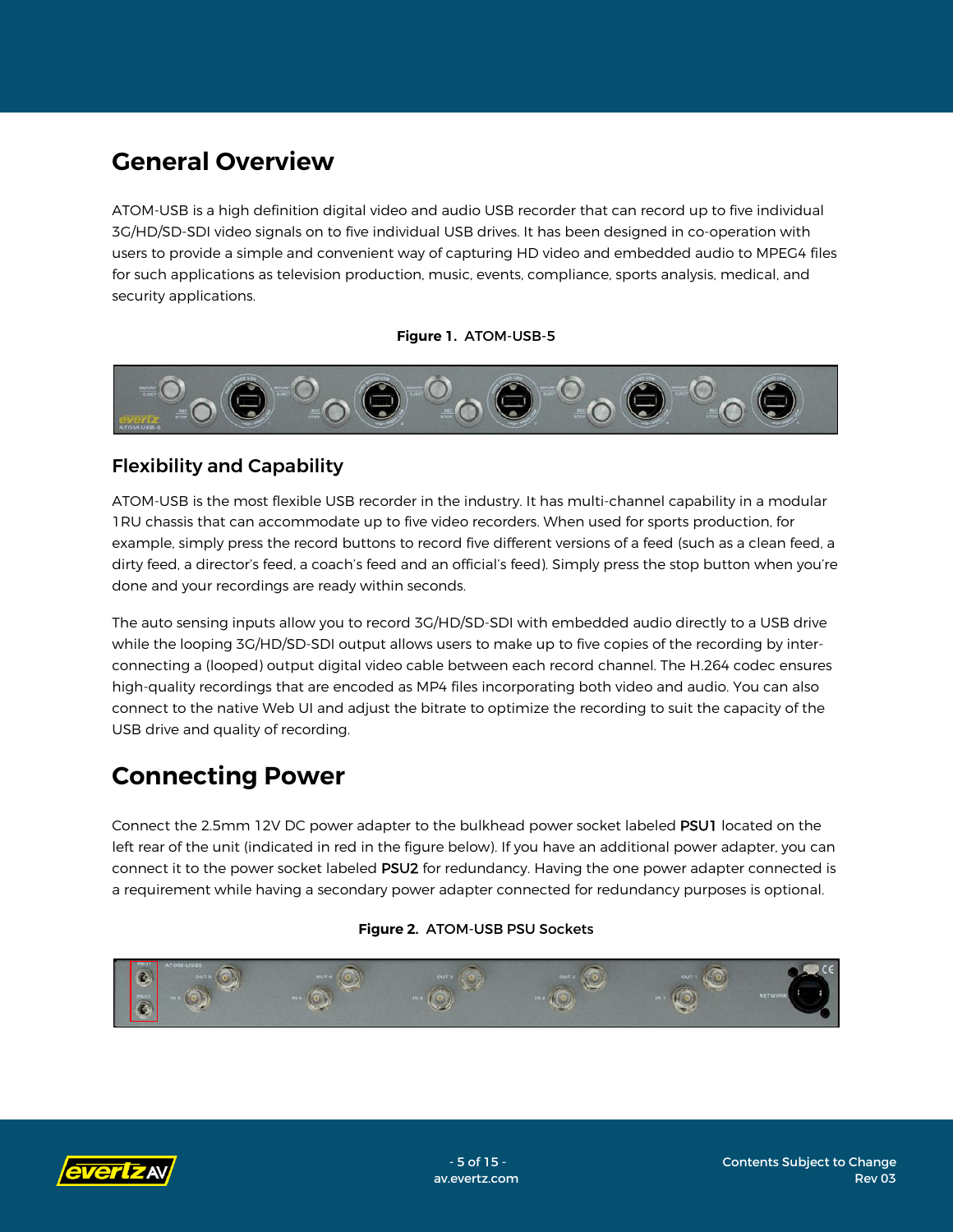### <span id="page-4-0"></span>**General Overview**

ATOM-USB is a high definition digital video and audio USB recorder that can record up to five individual 3G/HD/SD-SDI video signals on to five individual USB drives. It has been designed in co-operation with users to provide a simple and convenient way of capturing HD video and embedded audio to MPEG4 files for such applications as television production, music, events, compliance, sports analysis, medical, and security applications.

#### **Figure 1.** ATOM-USB-5



### <span id="page-4-1"></span>Flexibility and Capability

ATOM-USB is the most flexible USB recorder in the industry. It has multi-channel capability in a modular 1RU chassis that can accommodate up to five video recorders. When used for sports production, for example, simply press the record buttons to record five different versions of a feed (such as a clean feed, a dirty feed, a director's feed, a coach's feed and an official's feed). Simply press the stop button when you're done and your recordings are ready within seconds.

The auto sensing inputs allow you to record 3G/HD/SD-SDI with embedded audio directly to a USB drive while the looping 3G/HD/SD-SDI output allows users to make up to five copies of the recording by interconnecting a (looped) output digital video cable between each record channel. The H.264 codec ensures high-quality recordings that are encoded as MP4 files incorporating both video and audio. You can also connect to the native Web UI and adjust the bitrate to optimize the recording to suit the capacity of the USB drive and quality of recording.

### <span id="page-4-2"></span>**Connecting Power**

Connect the 2.5mm 12V DC power adapter to the bulkhead power socket labeled PSU1 located on the left rear of the unit (indicated in red in the figure below). If you have an additional power adapter, you can connect it to the power socket labeled PSU2 for redundancy. Having the one power adapter connected is a requirement while having a secondary power adapter connected for redundancy purposes is optional.

#### **Figure 2.** ATOM-USB PSU Sockets



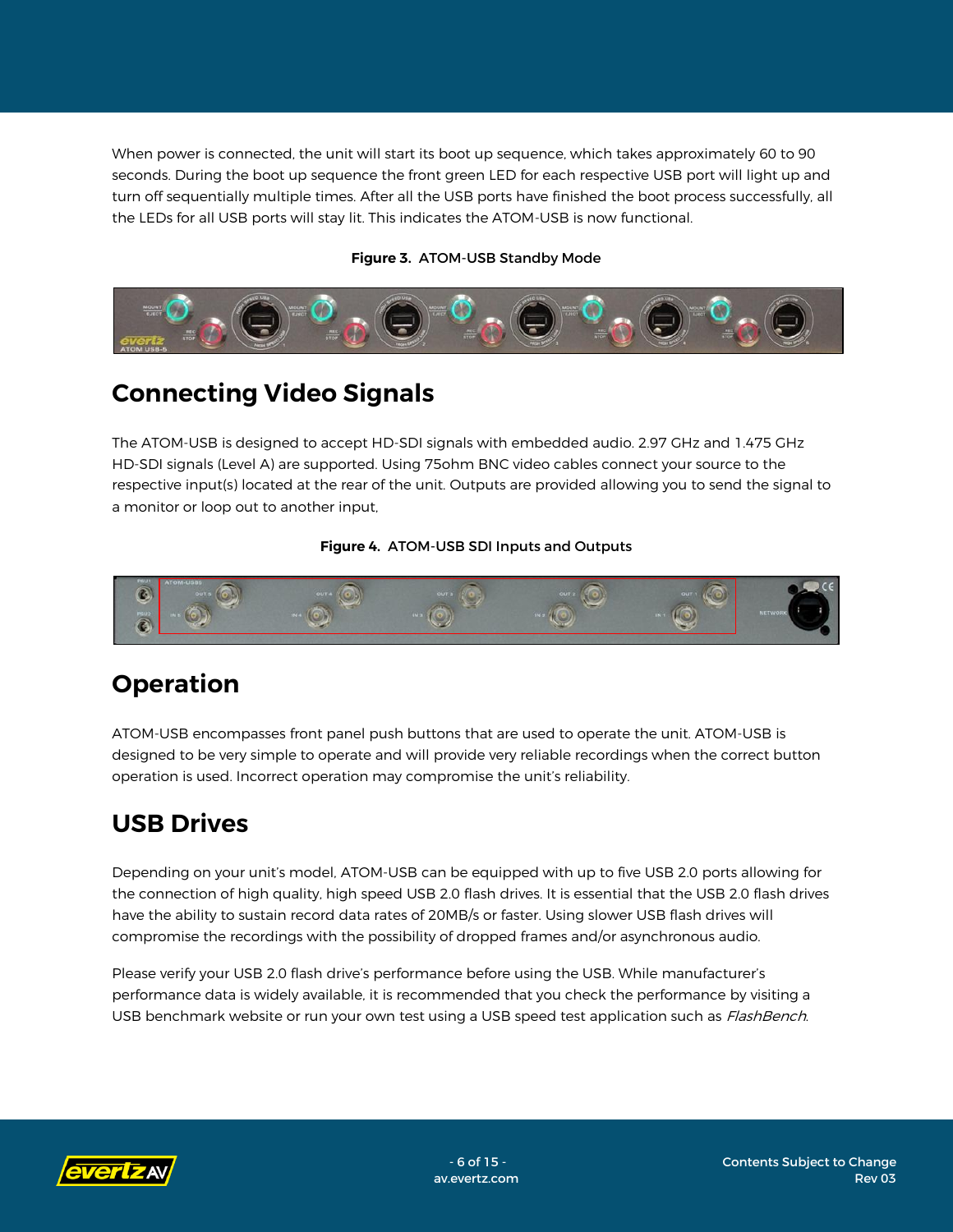When power is connected, the unit will start its boot up sequence, which takes approximately 60 to 90 seconds. During the boot up sequence the front green LED for each respective USB port will light up and turn off sequentially multiple times. After all the USB ports have finished the boot process successfully, all the LEDs for all USB ports will stay lit. This indicates the ATOM-USB is now functional.

#### **Figure 3.** ATOM-USB Standby Mode



## <span id="page-5-0"></span>**Connecting Video Signals**

The ATOM-USB is designed to accept HD-SDI signals with embedded audio. 2.97 GHz and 1.475 GHz HD-SDI signals (Level A) are supported. Using 75ohm BNC video cables connect your source to the respective input(s) located at the rear of the unit. Outputs are provided allowing you to send the signal to a monitor or loop out to another input,

#### **Figure 4.** ATOM-USB SDI Inputs and Outputs



# <span id="page-5-1"></span>**Operation**

ATOM-USB encompasses front panel push buttons that are used to operate the unit. ATOM-USB is designed to be very simple to operate and will provide very reliable recordings when the correct button operation is used. Incorrect operation may compromise the unit's reliability.

### <span id="page-5-2"></span>**USB Drives**

Depending on your unit's model, ATOM-USB can be equipped with up to five USB 2.0 ports allowing for the connection of high quality, high speed USB 2.0 flash drives. It is essential that the USB 2.0 flash drives have the ability to sustain record data rates of 20MB/s or faster. Using slower USB flash drives will compromise the recordings with the possibility of dropped frames and/or asynchronous audio.

Please verify your USB 2.0 flash drive's performance before using the USB. While manufacturer's performance data is widely available, it is recommended that you check the performance by visiting a USB benchmark website or run your own test using a USB speed test application such as FlashBench.

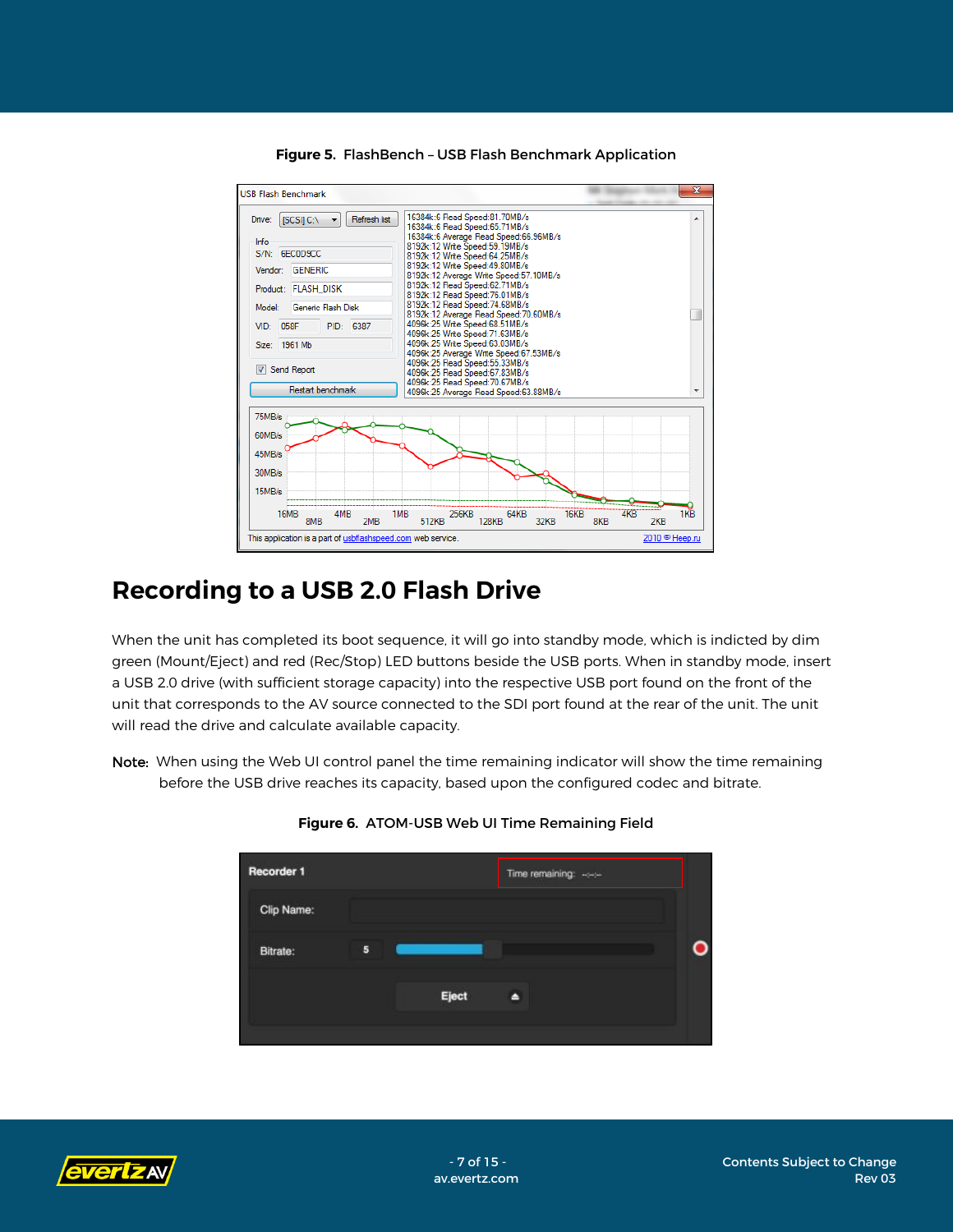

**Figure 5.** FlashBench – USB Flash Benchmark Application

### <span id="page-6-0"></span>**Recording to a USB 2.0 Flash Drive**

When the unit has completed its boot sequence, it will go into standby mode, which is indicted by dim green (Mount/Eject) and red (Rec/Stop) LED buttons beside the USB ports. When in standby mode, insert a USB 2.0 drive (with sufficient storage capacity) into the respective USB port found on the front of the unit that corresponds to the AV source connected to the SDI port found at the rear of the unit. The unit will read the drive and calculate available capacity.

Note: When using the Web UI control panel the time remaining indicator will show the time remaining before the USB drive reaches its capacity, based upon the configured codec and bitrate.



**Figure 6.** ATOM-USB Web UI Time Remaining Field

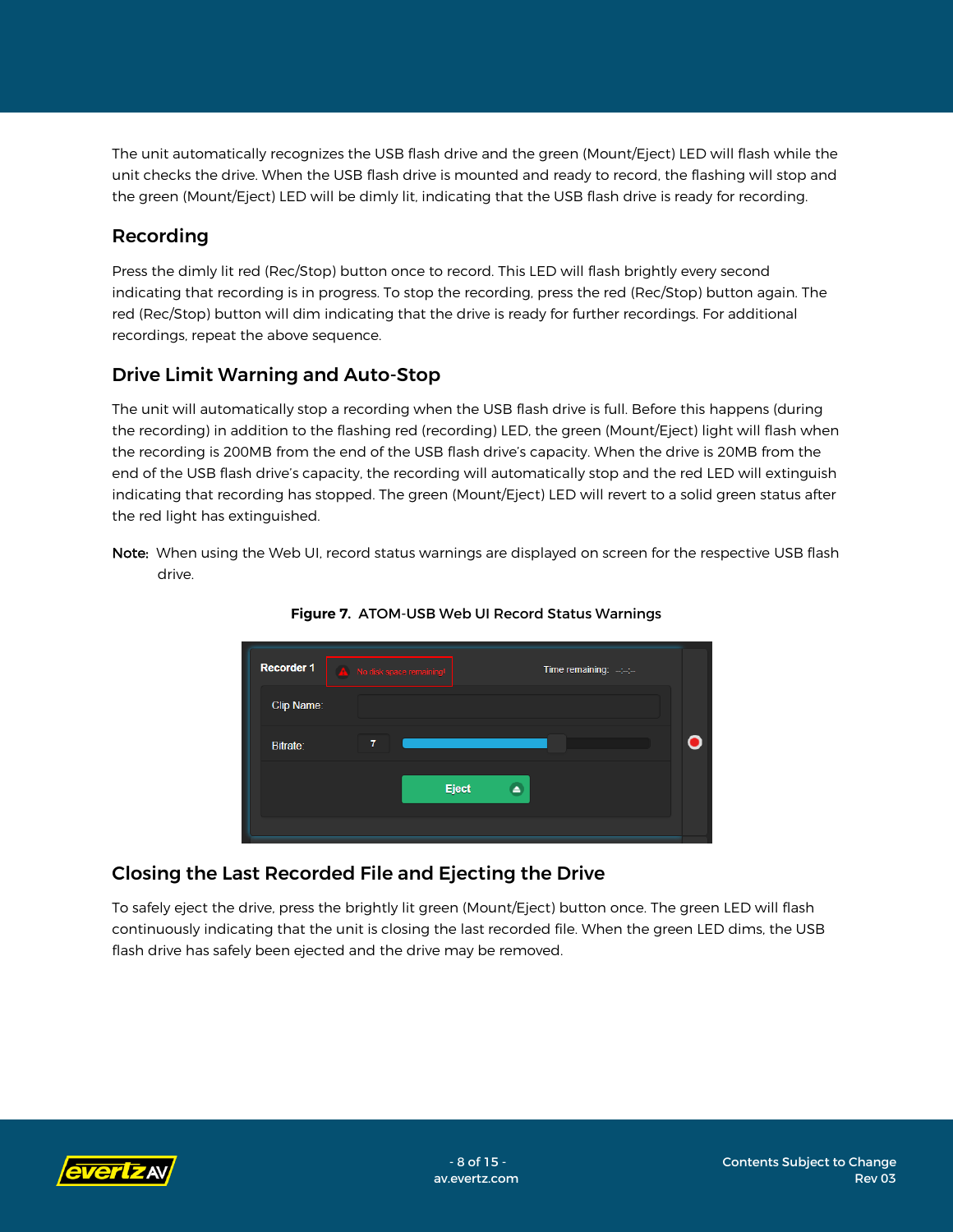The unit automatically recognizes the USB flash drive and the green (Mount/Eject) LED will flash while the unit checks the drive. When the USB flash drive is mounted and ready to record, the flashing will stop and the green (Mount/Eject) LED will be dimly lit, indicating that the USB flash drive is ready for recording.

### <span id="page-7-0"></span>Recording

Press the dimly lit red (Rec/Stop) button once to record. This LED will flash brightly every second indicating that recording is in progress. To stop the recording, press the red (Rec/Stop) button again. The red (Rec/Stop) button will dim indicating that the drive is ready for further recordings. For additional recordings, repeat the above sequence.

### <span id="page-7-1"></span>Drive Limit Warning and Auto-Stop

The unit will automatically stop a recording when the USB flash drive is full. Before this happens (during the recording) in addition to the flashing red (recording) LED, the green (Mount/Eject) light will flash when the recording is 200MB from the end of the USB flash drive's capacity. When the drive is 20MB from the end of the USB flash drive's capacity, the recording will automatically stop and the red LED will extinguish indicating that recording has stopped. The green (Mount/Eject) LED will revert to a solid green status after the red light has extinguished.

Note: When using the Web UI, record status warnings are displayed on screen for the respective USB flash drive.



**Figure 7.** ATOM-USB Web UI Record Status Warnings

### <span id="page-7-2"></span>Closing the Last Recorded File and Ejecting the Drive

To safely eject the drive, press the brightly lit green (Mount/Eject) button once. The green LED will flash continuously indicating that the unit is closing the last recorded file. When the green LED dims, the USB flash drive has safely been ejected and the drive may be removed.

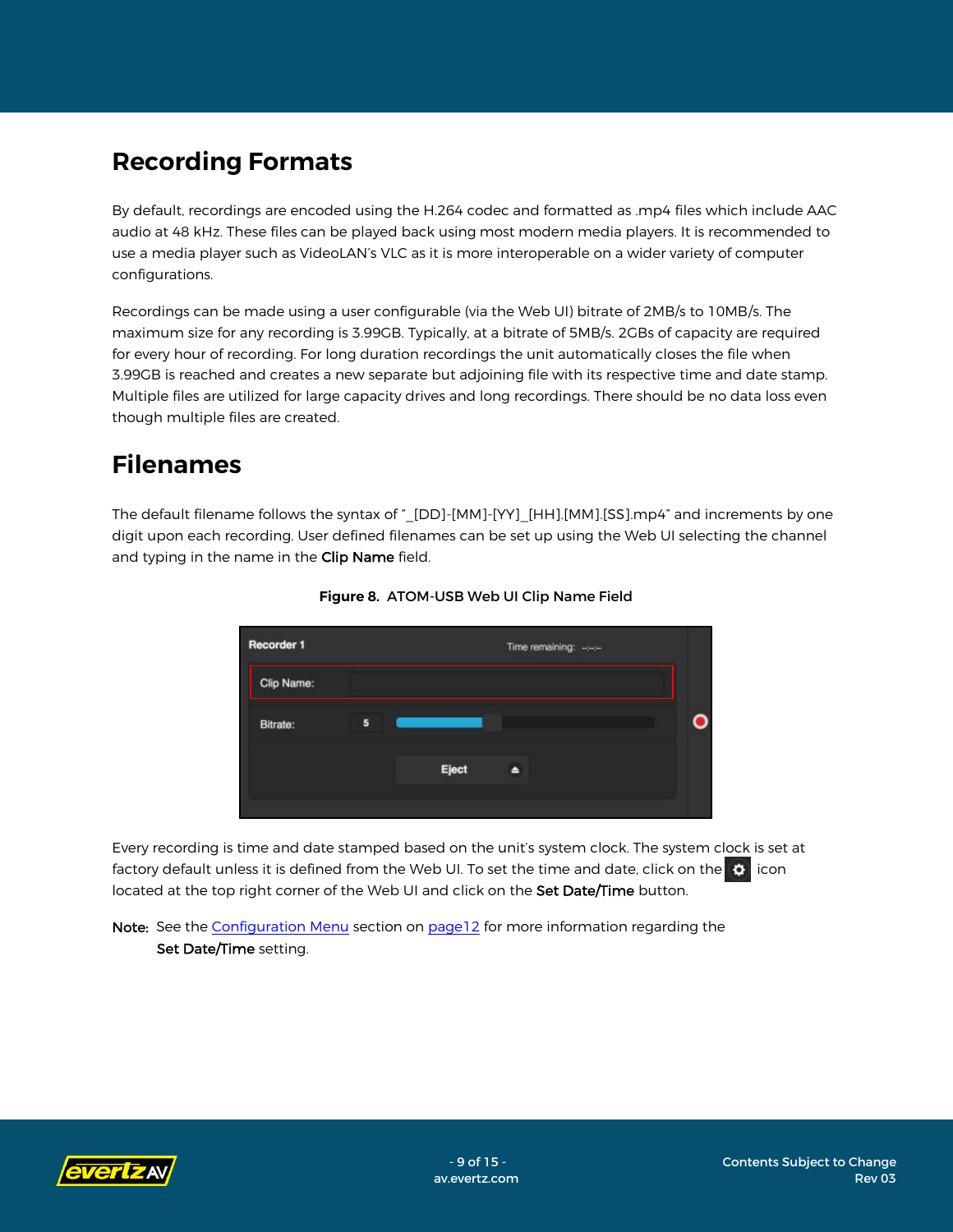### <span id="page-8-0"></span>**Recording Formats**

By default, recordings are encoded using the H.264 codec and formatted as .mp4 files which include AAC audio at 48 kHz. These files can be played back using most modern media players. It is recommended to use a media player such as VideoLAN's VLC as it is more interoperable on a wider variety of computer configurations.

Recordings can be made using a user configurable (via the Web UI) bitrate of 2MB/s to 10MB/s. The maximum size for any recording is 3.99GB. Typically, at a bitrate of 5MB/s. 2GBs of capacity are required for every hour of recording. For long duration recordings the unit automatically closes the file when 3.99GB is reached and creates a new separate but adjoining file with its respective time and date stamp. Multiple files are utilized for large capacity drives and long recordings. There should be no data loss even though multiple files are created.

### <span id="page-8-1"></span>**Filenames**

The default filename follows the syntax of "\_[DD]-[MM]-[YY]\_[HH].[MM].[SS].mp4" and increments by one digit upon each recording. User defined filenames can be set up using the Web UI selecting the channel and typing in the name in the Clip Name field.



**Figure 8.** ATOM-USB Web UI Clip Name Field

Every recording is time and date stamped based on the unit's system clock. The system clock is set at factory default unless it is defined from the Web UI. To set the time and date, click on the  $\bullet$  icon located at the top right corner of the Web UI and click on the Set Date/Time button.

Note: See the [Configuration](#page-11-0) Menu section on pag[e12](#page-11-0) for more information regarding the Set Date/Time setting.

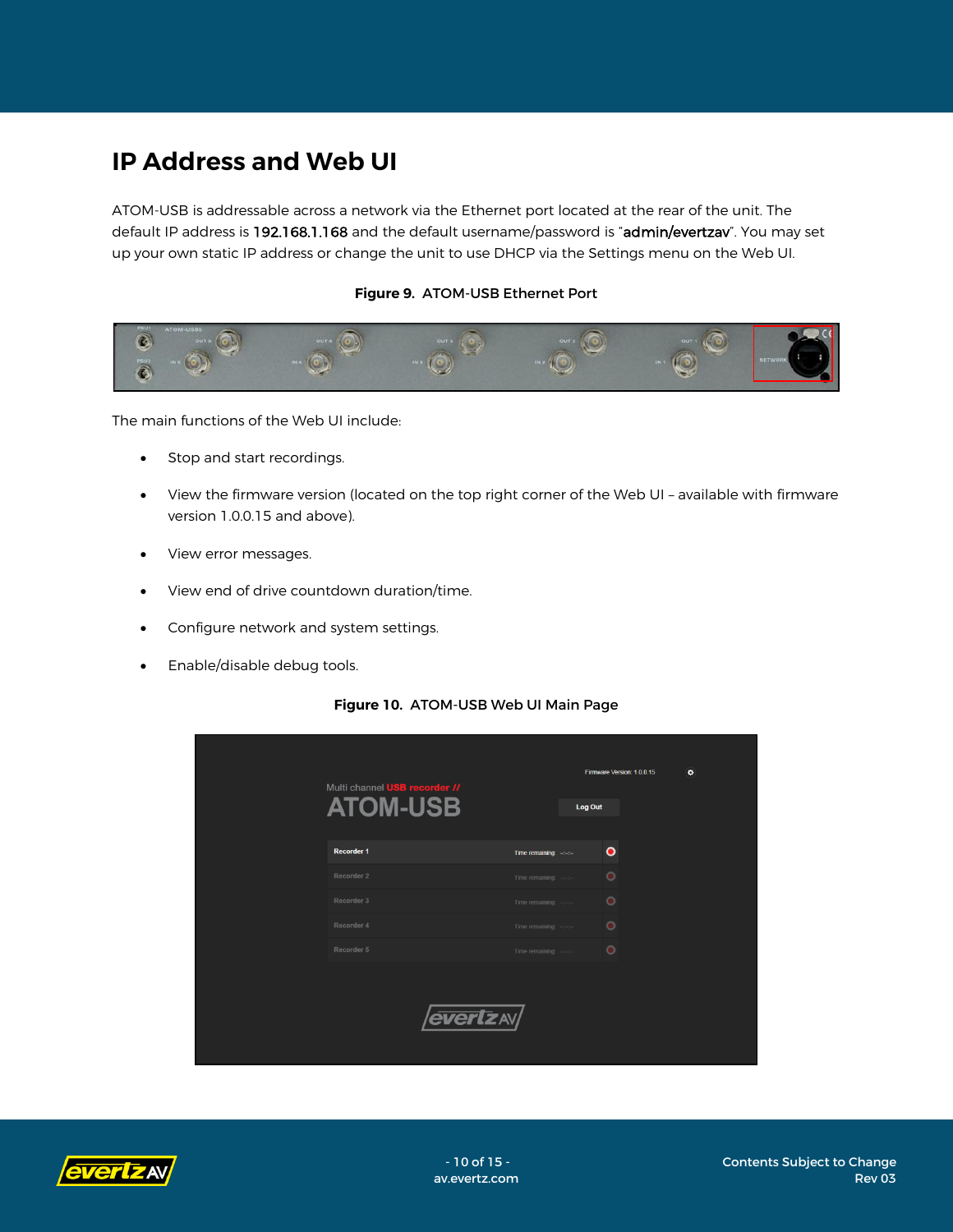## <span id="page-9-0"></span>**IP Address and Web UI**

ATOM-USB is addressable across a network via the Ethernet port located at the rear of the unit. The default IP address is 192.168.1.168 and the default username/password is "admin/evertzav". You may set up your own static IP address or change the unit to use DHCP via the Settings menu on the Web UI.

#### **Figure 9.** ATOM-USB Ethernet Port



The main functions of the Web UI include:

- Stop and start recordings.
- View the firmware version (located on the top right corner of the Web UI available with firmware version 1.0.0.15 and above).
- View error messages.
- View end of drive countdown duration/time.
- Configure network and system settings.
- Enable/disable debug tools.



#### **Figure 10.** ATOM-USB Web UI Main Page

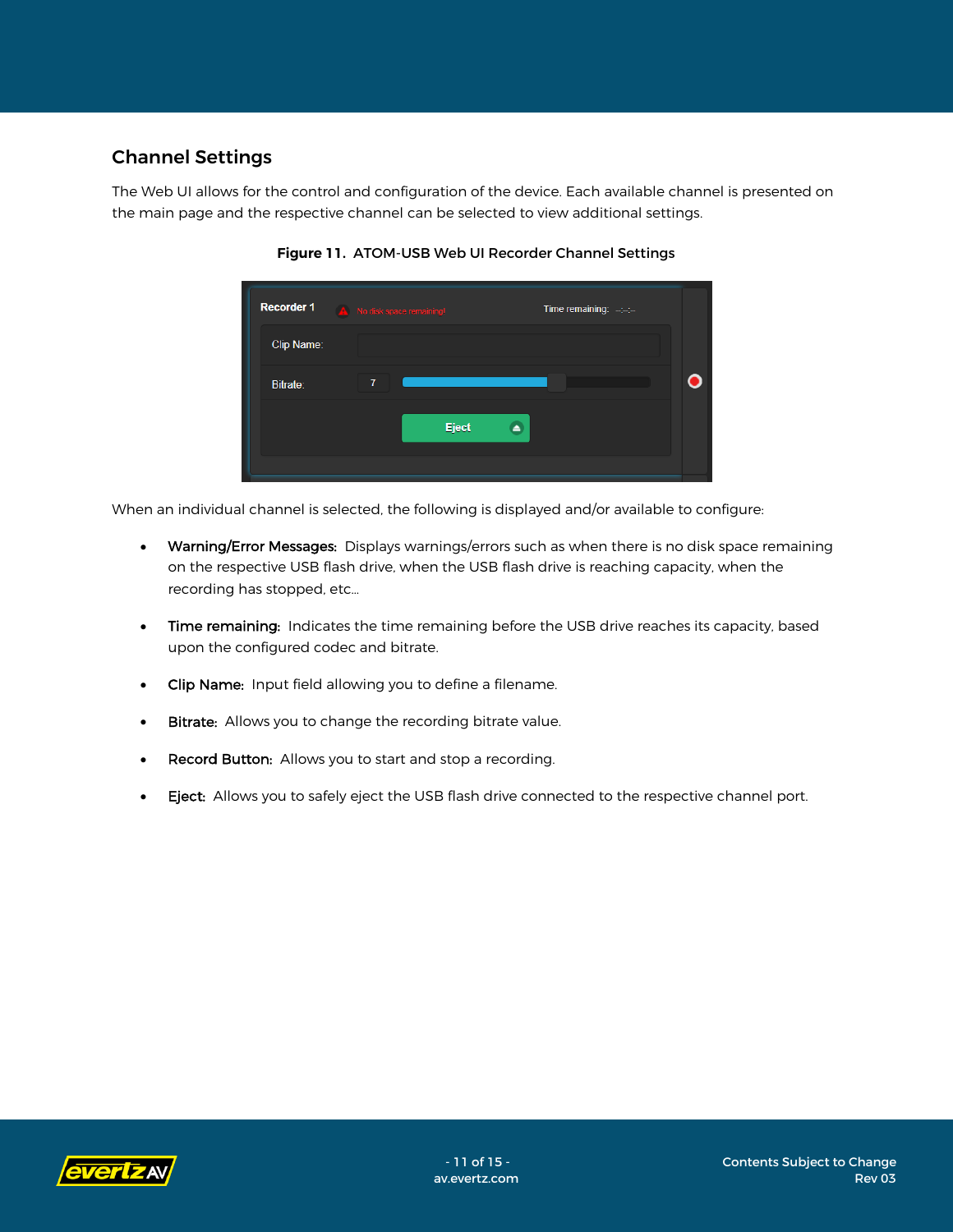### <span id="page-10-0"></span>Channel Settings

The Web UI allows for the control and configuration of the device. Each available channel is presented on the main page and the respective channel can be selected to view additional settings.

| Recorder 1 | Time remaining: $-\frac{1}{2}$<br>No disk space remaining! |  |
|------------|------------------------------------------------------------|--|
| Clip Name: |                                                            |  |
| Bitrate:   | $\overline{I}$                                             |  |
|            | <b>Eject</b>                                               |  |
|            |                                                            |  |

**Figure 11.** ATOM-USB Web UI Recorder Channel Settings

When an individual channel is selected, the following is displayed and/or available to configure:

- Warning/Error Messages: Displays warnings/errors such as when there is no disk space remaining on the respective USB flash drive, when the USB flash drive is reaching capacity, when the recording has stopped, etc…
- Time remaining: Indicates the time remaining before the USB drive reaches its capacity, based upon the configured codec and bitrate.
- Clip Name: Input field allowing you to define a filename.
- **Bitrate:** Allows you to change the recording bitrate value.
- Record Button: Allows you to start and stop a recording.
- **Eject:** Allows you to safely eject the USB flash drive connected to the respective channel port.

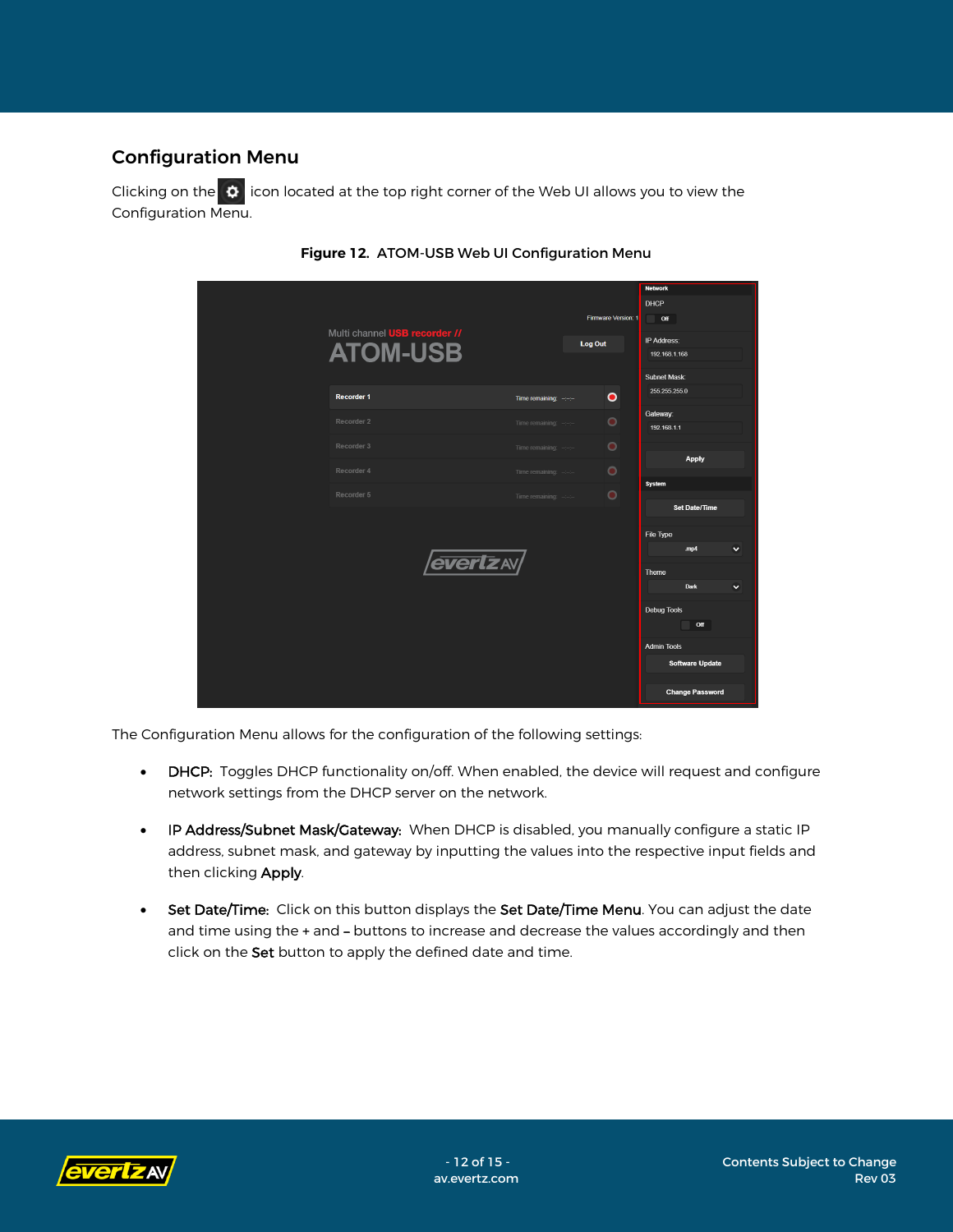### <span id="page-11-0"></span>Configuration Menu

Clicking on the  $\Phi$  icon located at the top right corner of the Web UI allows you to view the Configuration Menu.

|                                      |                                 |                     | <b>Network</b>         |
|--------------------------------------|---------------------------------|---------------------|------------------------|
|                                      |                                 |                     | DHCP                   |
|                                      |                                 | Firmware Version: 1 | Off<br>w               |
| Multi channel <b>USB recorder //</b> |                                 | <b>Log Out</b>      | IP Address:            |
| <b>ATOM-USB</b>                      |                                 |                     | 192.168.1.168          |
|                                      |                                 |                     | Subnet Mask:           |
| <b>Recorder 1</b>                    | Time remaining: $-\leftarrow$   | $\bullet$           | 255.255.255.0          |
| Recorder 2                           | Time remaining: $-\leftarrow$   | $\bullet$           | Gateway:               |
|                                      |                                 |                     | 192.168.1.1            |
| Recorder 3                           | Time remaining: $-\leftarrow -$ | $\bullet$           | <b>Apply</b>           |
| Recorder 4                           | Time remaining: -:-:-           | $\bullet$           |                        |
| Recorder 5                           |                                 | $\bullet$           | <b>System</b>          |
|                                      | Time remaining: $-\leftarrow$   |                     | <b>Set Date/Time</b>   |
|                                      |                                 |                     |                        |
|                                      |                                 |                     | File Type<br>mp4<br>v  |
| <i><b>evertzav/</b></i>              |                                 |                     |                        |
|                                      |                                 |                     | Theme                  |
|                                      |                                 |                     | Dark<br>M              |
|                                      |                                 |                     | <b>Debug Tools</b>     |
|                                      |                                 |                     | Off                    |
|                                      |                                 |                     | <b>Admin Tools</b>     |
|                                      |                                 |                     | <b>Software Update</b> |
|                                      |                                 |                     |                        |
|                                      |                                 |                     | <b>Change Password</b> |



The Configuration Menu allows for the configuration of the following settings:

- DHCP: Toggles DHCP functionality on/off. When enabled, the device will request and configure network settings from the DHCP server on the network.
- IP Address/Subnet Mask/Gateway: When DHCP is disabled, you manually configure a static IP address, subnet mask, and gateway by inputting the values into the respective input fields and then clicking Apply.
- Set Date/Time: Click on this button displays the Set Date/Time Menu. You can adjust the date and time using the + and – buttons to increase and decrease the values accordingly and then click on the Set button to apply the defined date and time.

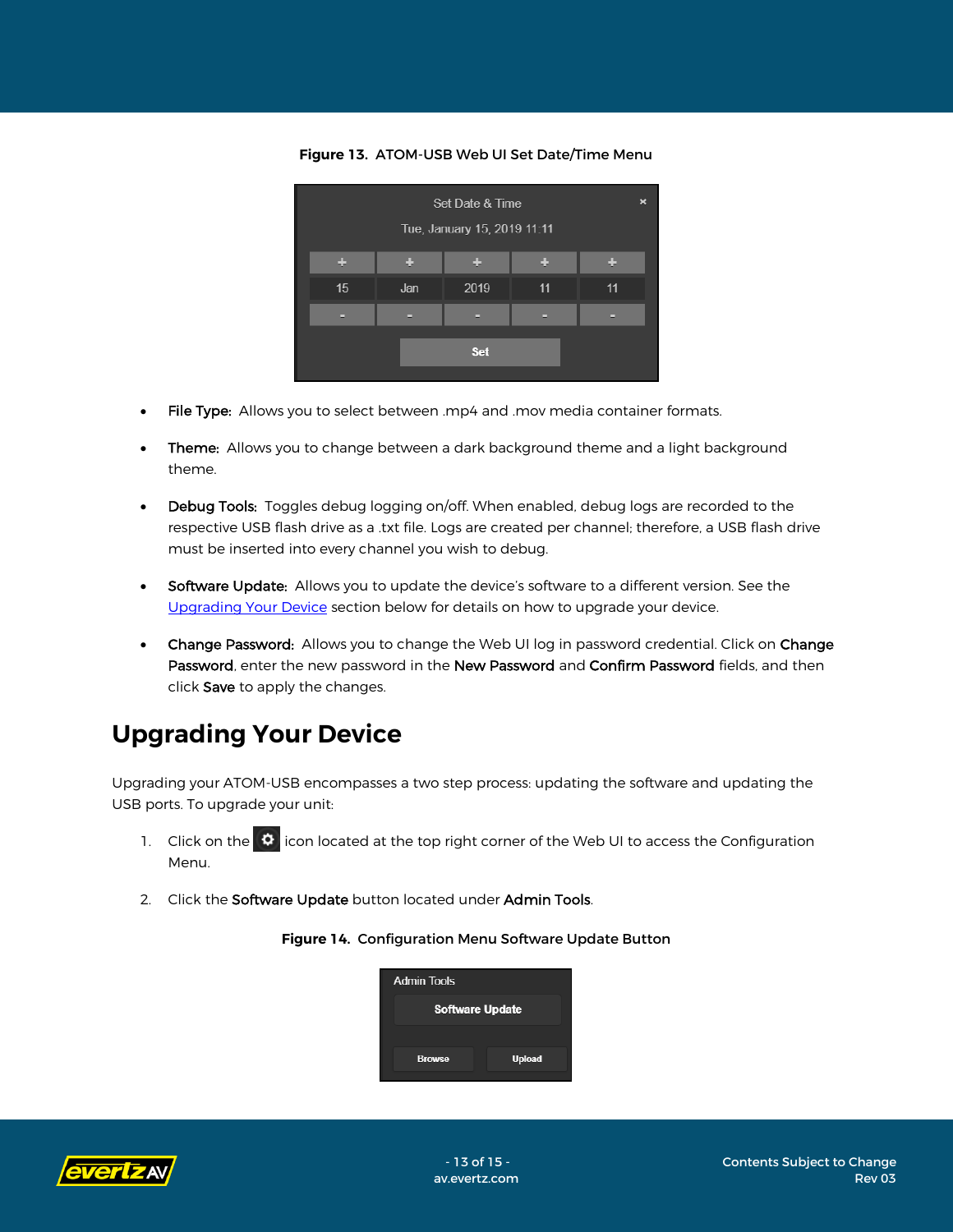Set Date & Time Tue, January 15, 2019 11:11 ă. a. ٠  $15$ 2019 Jan  $11$  $11$ Set

**Figure 13.** ATOM-USB Web UI Set Date/Time Menu

- File Type: Allows you to select between .mp4 and .mov media container formats.
- Theme: Allows you to change between a dark background theme and a light background theme.
- Debug Tools: Toggles debug logging on/off. When enabled, debug logs are recorded to the respective USB flash drive as a .txt file. Logs are created per channel; therefore, a USB flash drive must be inserted into every channel you wish to debug.
- **Software Update:** Allows you to update the device's software to a different version. See the [Upgrading Your Device](#page-12-0) section below for details on how to upgrade your device.
- Change Password: Allows you to change the Web UI log in password credential. Click on Change Password, enter the new password in the New Password and Confirm Password fields, and then click Save to apply the changes.

### <span id="page-12-0"></span>**Upgrading Your Device**

Upgrading your ATOM-USB encompasses a two step process: updating the software and updating the USB ports. To upgrade your unit:

- 1. Click on the  $\ddot{\bullet}$  icon located at the top right corner of the Web UI to access the Configuration Menu.
- 2. Click the Software Update button located under Admin Tools.

### **Admin Tools Software Update Browse Upload**

**Figure 14.** Configuration Menu Software Update Button

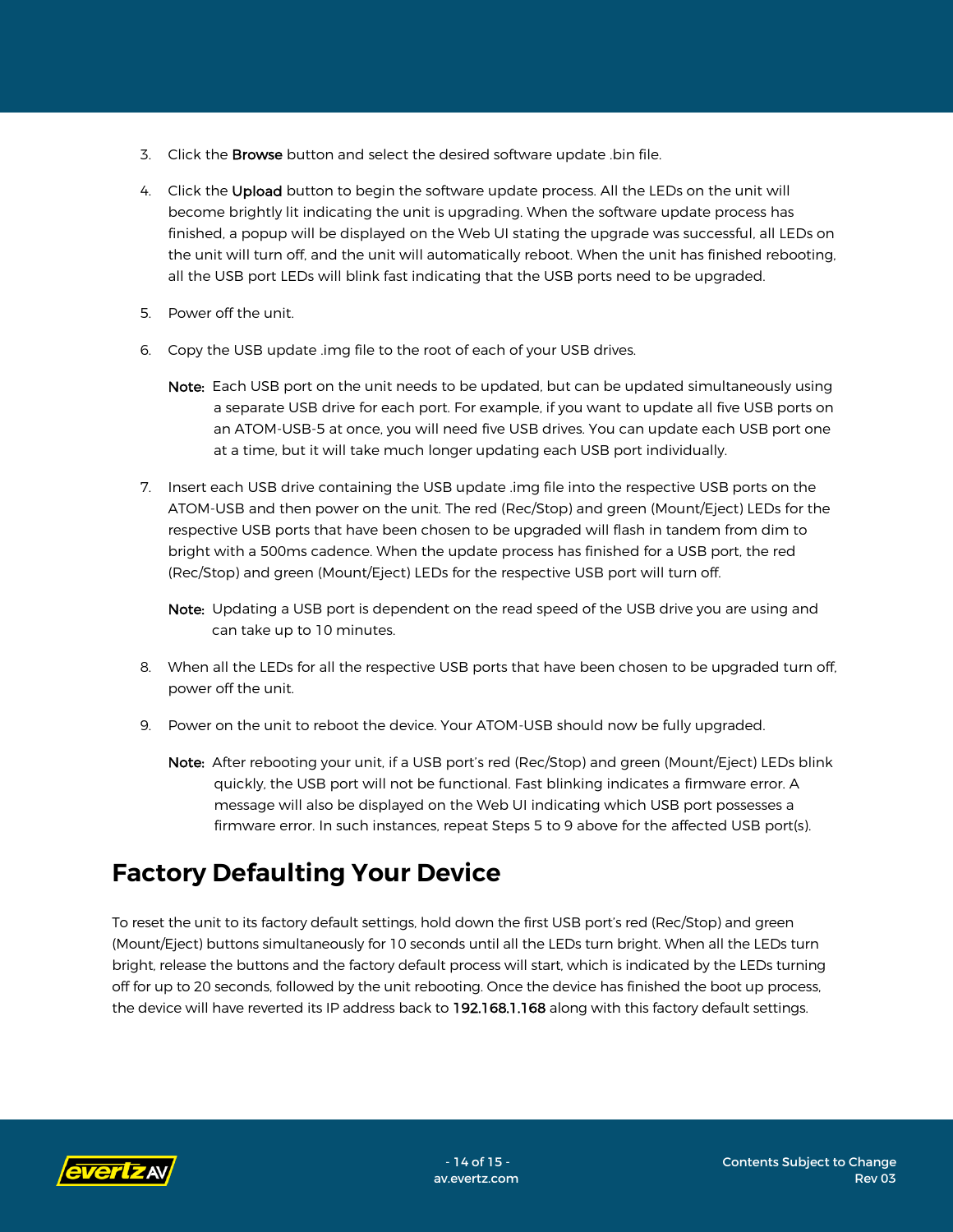- 3. Click the Browse button and select the desired software update .bin file.
- 4. Click the Upload button to begin the software update process. All the LEDs on the unit will become brightly lit indicating the unit is upgrading. When the software update process has finished, a popup will be displayed on the Web UI stating the upgrade was successful, all LEDs on the unit will turn off, and the unit will automatically reboot. When the unit has finished rebooting, all the USB port LEDs will blink fast indicating that the USB ports need to be upgraded.
- 5. Power off the unit.
- 6. Copy the USB update .img file to the root of each of your USB drives.
	- Note: Each USB port on the unit needs to be updated, but can be updated simultaneously using a separate USB drive for each port. For example, if you want to update all five USB ports on an ATOM-USB-5 at once, you will need five USB drives. You can update each USB port one at a time, but it will take much longer updating each USB port individually.
- 7. Insert each USB drive containing the USB update .img file into the respective USB ports on the ATOM-USB and then power on the unit. The red (Rec/Stop) and green (Mount/Eject) LEDs for the respective USB ports that have been chosen to be upgraded will flash in tandem from dim to bright with a 500ms cadence. When the update process has finished for a USB port, the red (Rec/Stop) and green (Mount/Eject) LEDs for the respective USB port will turn off.
	- Note: Updating a USB port is dependent on the read speed of the USB drive you are using and can take up to 10 minutes.
- 8. When all the LEDs for all the respective USB ports that have been chosen to be upgraded turn off, power off the unit.
- 9. Power on the unit to reboot the device. Your ATOM-USB should now be fully upgraded.
	- Note: After rebooting your unit, if a USB port's red (Rec/Stop) and green (Mount/Eject) LEDs blink quickly, the USB port will not be functional. Fast blinking indicates a firmware error. A message will also be displayed on the Web UI indicating which USB port possesses a firmware error. In such instances, repeat Steps 5 to 9 above for the affected USB port(s).

### <span id="page-13-0"></span>**Factory Defaulting Your Device**

To reset the unit to its factory default settings, hold down the first USB port's red (Rec/Stop) and green (Mount/Eject) buttons simultaneously for 10 seconds until all the LEDs turn bright. When all the LEDs turn bright, release the buttons and the factory default process will start, which is indicated by the LEDs turning off for up to 20 seconds, followed by the unit rebooting. Once the device has finished the boot up process, the device will have reverted its IP address back to 192.168.1.168 along with this factory default settings.

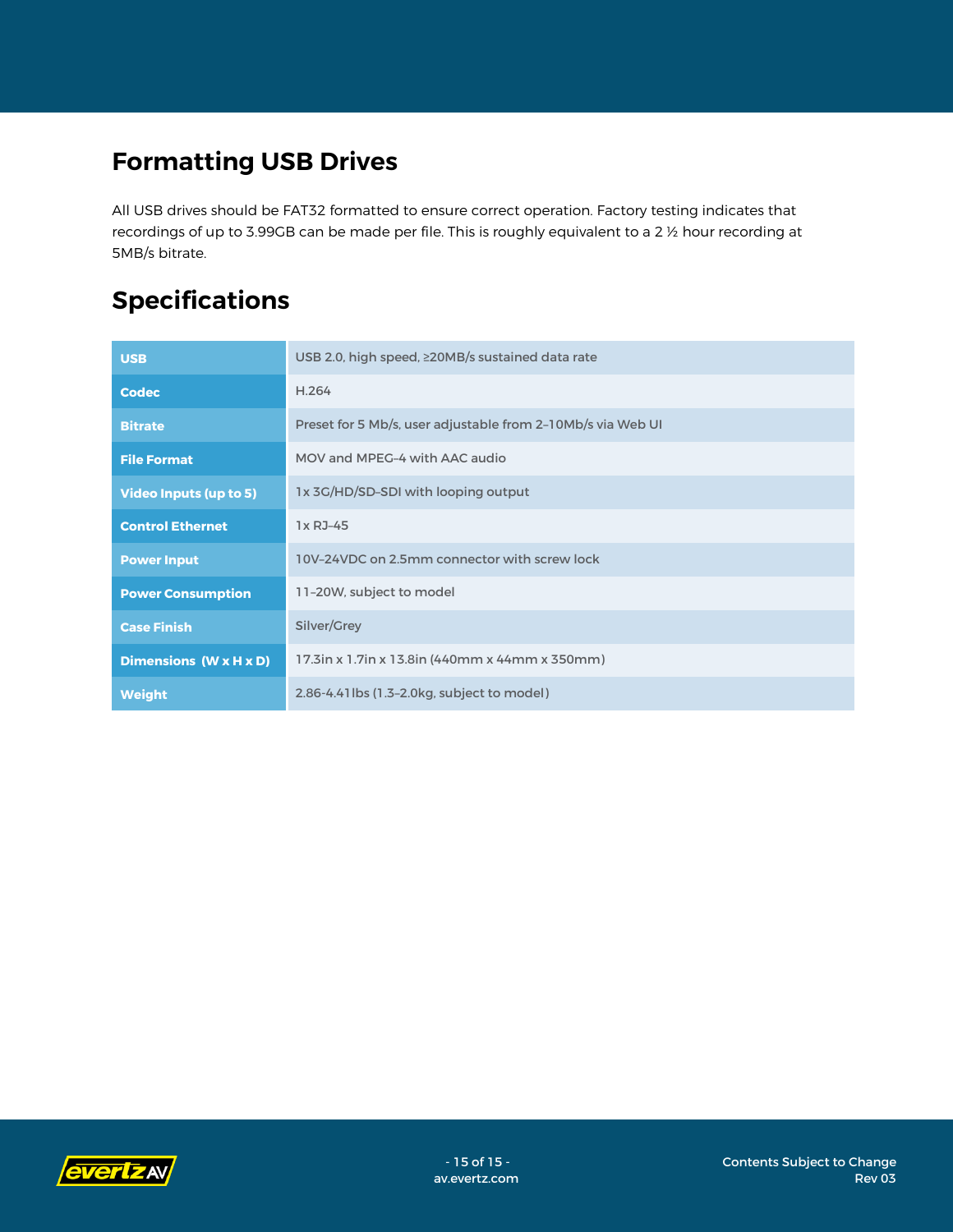# <span id="page-14-0"></span>**Formatting USB Drives**

All USB drives should be FAT32 formatted to ensure correct operation. Factory testing indicates that recordings of up to 3.99GB can be made per file. This is roughly equivalent to a 2 ½ hour recording at 5MB/s bitrate.

# <span id="page-14-1"></span>**Specifications**

| <b>USB</b>                    | USB 2.0, high speed, ≥20MB/s sustained data rate            |  |  |
|-------------------------------|-------------------------------------------------------------|--|--|
| <b>Codec</b>                  | H.264                                                       |  |  |
| <b>Bitrate</b>                | Preset for 5 Mb/s, user adjustable from 2-10Mb/s via Web UI |  |  |
| <b>File Format</b>            | MOV and MPEG-4 with AAC audio                               |  |  |
| <b>Video Inputs (up to 5)</b> | 1x 3G/HD/SD-SDI with looping output                         |  |  |
| <b>Control Ethernet</b>       | 1x RJ-45                                                    |  |  |
| <b>Power Input</b>            | 10V-24VDC on 2.5mm connector with screw lock                |  |  |
| <b>Power Consumption</b>      | 11-20W, subject to model                                    |  |  |
| <b>Case Finish</b>            | Silver/Grey                                                 |  |  |
| Dimensions (W x H x D)        | 17.3in x 1.7in x 13.8in (440mm x 44mm x 350mm)              |  |  |
| <b>Weight</b>                 | 2.86-4.41 lbs (1.3-2.0 kg, subject to model)                |  |  |